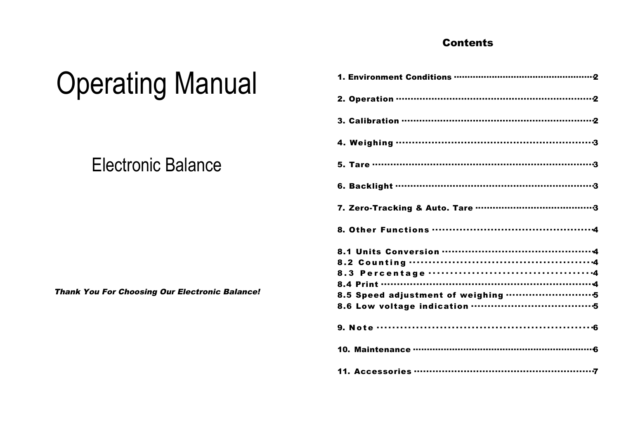## **Contents**

| <b>Operating Manual</b> |  |
|-------------------------|--|
|-------------------------|--|

# **Electronic Balance**

| 8.1 Units Conversion ……………………………………………4 |
|-----------------------------------------|
|                                         |
|                                         |
|                                         |
|                                         |
|                                         |
|                                         |
|                                         |
|                                         |

**Thank You For Choosing Our Electronic Balance!**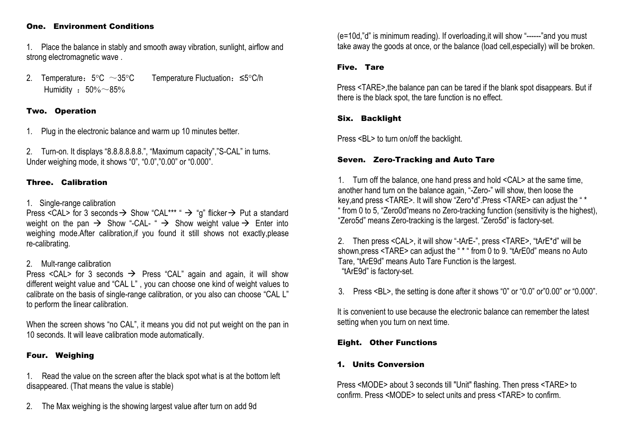#### One. Environment Conditions

1. Place the balance in stably and smooth away vibration, sunlight, airflow and strong electromagnetic wave .

2. Temperature: 5°C ~35°C Temperature Fluctuation: ≤5°C/h Humidity :  $50\% \sim 85\%$ 

## Two. Operation

1. Plug in the electronic balance and warm up 10 minutes better.

2. Turn-on. It displays "8.8.8.8.8.8.", "Maximum capacity","S-CAL" in turns. Under weighing mode, it shows "0", "0.0","0.00" or "0.000".

## Three. Calibration

## 1. Single-range calibration

Press <CAL> for 3 seconds  $\rightarrow$  Show "CAL\*\*\* "  $\rightarrow$  "g" flicker  $\rightarrow$  Put a standard weight on the pan  $\rightarrow$  Show "-CAL-"  $\rightarrow$  Show weight value  $\rightarrow$  Enter into weighing mode.After calibration, if you found it still shows not exactly.please re-calibrating.

## 2. Mult-range calibration

Press <CAL> for 3 seconds  $\rightarrow$  Press "CAL" again and again, it will show different weight value and "CAL L" , you can choose one kind of weight values to calibrate on the basis of single-range calibration, or you also can choose "CAL L" to perform the linear calibration.

When the screen shows "no CAL", it means you did not put weight on the pan in 10 seconds. It will leave calibration mode automatically.

## Four. Weighing

1. Read the value on the screen after the black spot what is at the bottom left disappeared. (That means the value is stable)

2. The Max weighing is the showing largest value after turn on add 9d

(e=10d,"d" is minimum reading). If overloading,it will show "------"and you must take away the goods at once, or the balance (load cell,especially) will be broken.

## Five. Tare

Press <TARE>, the balance pan can be tared if the blank spot disappears. But if there is the black spot, the tare function is no effect.

## Six. Backlight

Press <BL> to turn on/off the backlight.

## Seven. Zero-Tracking and Auto Tare

1. Turn off the balance, one hand press and hold <CAL> at the same time, another hand turn on the balance again, "-Zero-" will show, then loose the key,and press <TARE>. It will show "Zero\*d".Press <TARE> can adjust the " \* " from 0 to 5, "Zero0d"means no Zero-tracking function (sensitivity is the highest), "Zero5d" means Zero-tracking is the largest. "Zero5d" is factory-set.

> 2. Then press <CAL>, it will show "-tArE-", press <TARE>, "tArE\*d" will be shown,press <TARE> can adjust the " \* " from 0 to 9. "tArE0d" means no Auto Tare, "tArE9d" means Auto Tare Function is the largest. "tArE9d" is factory-set.

3. Press <BL>, the setting is done after it shows "0" or "0.0" or"0.00" or "0.000".

It is convenient to use because the electronic balance can remember the latest setting when you turn on next time.

## Eight. Other Functions

## 1. Units Conversion

Press <MODE> about 3 seconds till "Unit" flashing. Then press <TARE> to confirm. Press <MODE> to select units and press <TARE> to confirm.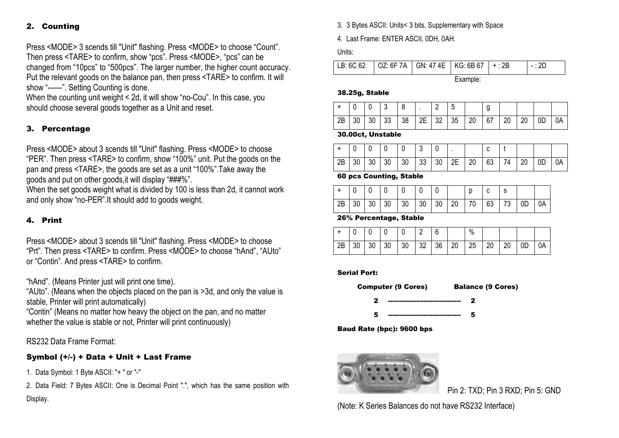## 2. Counting

Press <MODE> 3 scends till "Unit" flashing. Press <MODE> to choose "Count". Then press <TARE> to confirm, show "pcs". Press <MODE>, "pcs" can be changed from "10pcs" to "500pcs". The larger number, the higher count accuracy. Put the relevant goods on the balance pan, then press <TARE> to confirm. It will show "------". Setting Counting is done.

When the counting unit weight <sup>&</sup>lt; 2d, it will show "no-Cou". In this case, you should choose several goods together as <sup>a</sup> Unit and reset.

## 3. Percentage

Press <MODE> about 3 scends till "Unit" flashing. Press <MODE> to choose "PER". Then press <TARE> to confirm, show "100%" unit. Put the goods on the pan and press <TARE>, the goods are set as <sup>a</sup> unit "100%".Take away the goods and put on other goods,it will display "###%".

When the set goods weight what is divided by 100 is less than 2d, it cannot work and only show "no-PER".It should add to goods weight.

## 4. Print

Press <MODE> about 3 scends till "Unit" flashing. Press <MODE> to choose "Prt". Then press <TARE> to confirm. Press <MODE> to choose "hAnd", "AUto" or "Contin". And press <TARE> to confirm.

"hAnd". (Means Printer just will print one time).

"AUto". (Means when the objects placed on the pan is >3d, and only the value is stable, Printer will print automatically)

"Contin" (Means no matter how heavy the object on the pan, and no matter whether the value is stable or not. Printer will print continuously)

RS232 Data Frame Format:

## Symbol (+/-) <sup>+</sup> Data <sup>+</sup> Unit <sup>+</sup> Last Frame

1. Data Symbol: 1 Byte ASCII: "+ " or "-"

2. Data Field: 7 Bytes ASCII: One is Decimal Point ".", which has the same position with Display.

3. 3 Bytes ASCII: Units< 3 bits, Supplementary with Space

4. Last Frame: ENTER ASCII, 0DH, 0AH.

Units:

|  |  | LB: 6C 62 $\vert$ OZ: 6F 7A $\vert$ GN: 47 4E $\vert$ KG: 6B 67 $\vert$ + : 2B |  |  |  |  |  |
|--|--|--------------------------------------------------------------------------------|--|--|--|--|--|
|--|--|--------------------------------------------------------------------------------|--|--|--|--|--|

Example:

#### 38.25g, Stable

|    |    |    | υ         |    |          | 5 |    |    |    |     |    |    |
|----|----|----|-----------|----|----------|---|----|----|----|-----|----|----|
| 2B | 30 | 30 | $33 \mid$ | 38 | 2E 32 35 |   | 20 | 67 | 20 | -20 | 0D | 0A |

30.00ct, Unstable

|    |    |    |    |    | u  |    |                 |    |    |    |          |    |    |
|----|----|----|----|----|----|----|-----------------|----|----|----|----------|----|----|
| 2B | 30 | 30 | 30 | 30 | 33 | 30 | クロ<br><u>__</u> | 20 | 63 | 74 | ററ<br>۷J | 0D | 0A |

60 pcs Counting, Stable

| 2B |  | $30 \mid 30 \mid 30 \mid 30 \mid 30 \mid 30 \mid 20 \mid 70 \mid$ |  |  | 63 73 0D |  | 0A |
|----|--|-------------------------------------------------------------------|--|--|----------|--|----|

26% Percentage, Stable

|    |  |             |  |          | $\%$  |             |    |            |
|----|--|-------------|--|----------|-------|-------------|----|------------|
| 2B |  | 30 30 30 30 |  | 32 36 20 | 25 20 | $\sqrt{20}$ | 0D | $\vert$ 0A |

#### Serial Port:

Computer (9 Cores) Balance (9 Cores)

2 --------------------------------- 2

5 --------------------------------- 5

Baud Rate (bpc): 9600 bps



Pin 2: TXD; Pin 3 RXD; Pin 5: GND

(Note: K Series Balances do not have RS232 Interface)